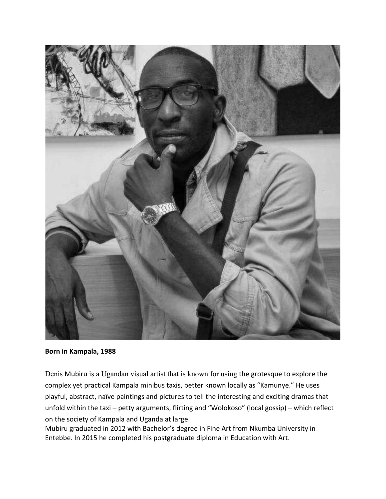

**Born in Kampala, 1988**

Denis Mubiru is a Ugandan visual artist that is known for using the grotesque to explore the complex yet practical Kampala minibus taxis, better known locally as "Kamunye." He uses playful, abstract, naïve paintings and pictures to tell the interesting and exciting dramas that unfold within the taxi – petty arguments, flirting and "Wolokoso" (local gossip) – which reflect on the society of Kampala and Uganda at large.

Mubiru graduated in 2012 with Bachelor's degree in Fine Art from Nkumba University in Entebbe. In 2015 he completed his postgraduate diploma in Education with Art.